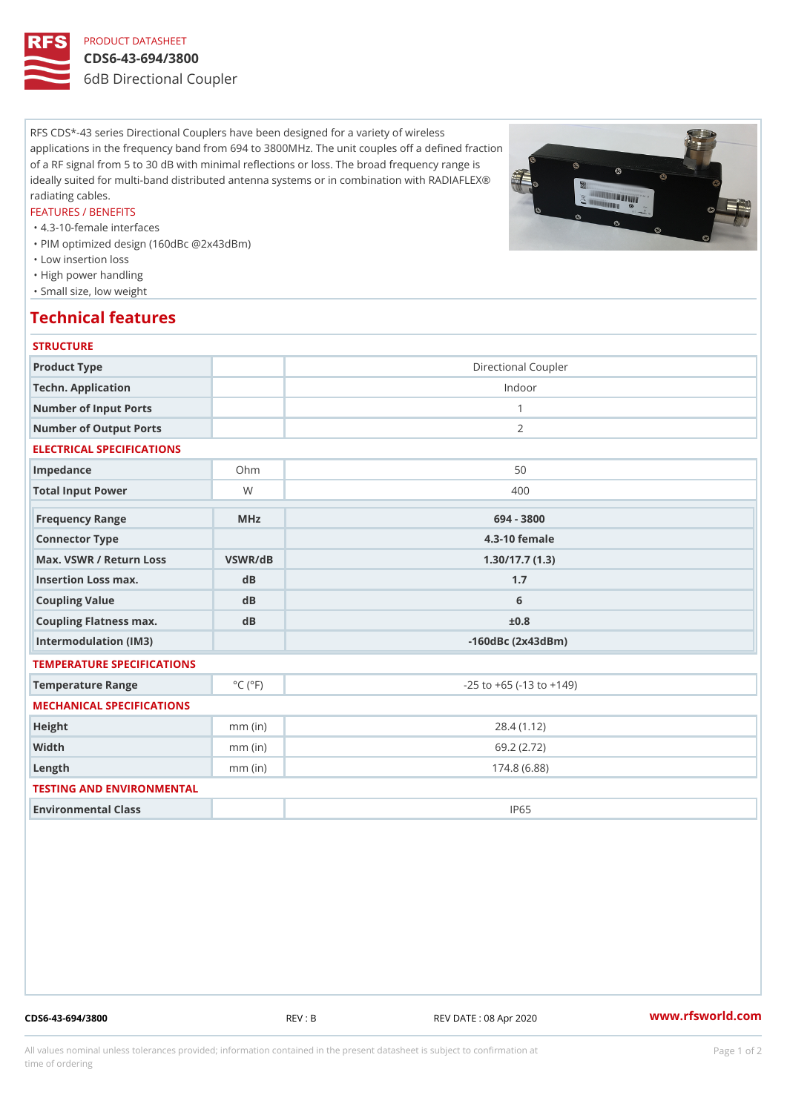# PRODUCT DATASHEET

## CDS6-43-694/3800

6dB Directional Coupler

RFS CDS\*-43 series Directional Couplers have been designed for a variety of wireless applications in the frequency band from 694 to 3800MHz. The unit couples off a defined fraction of a RF signal from 5 to 30 dB with minimal reflections or loss. The broad frequency range is ideally suited for multi-band distributed antenna systems or in combination with RADIAFLEX® radiating cables.

#### FEATURES / BENEFITS

"4.3-10-female interfaces

- "PIM optimized design (160dBc @2x43dBm)
- "Low insertion loss
- "High power handling
- "Small size, low weight

## Technical features

| <b>STRUCTURE</b>               |                             |                                    |
|--------------------------------|-----------------------------|------------------------------------|
| Product Type                   |                             | Directional Coupler                |
| Techn. Application             |                             | Indoor                             |
| Number of Input Ports          |                             | $\mathbf{1}$                       |
| Number of Output Ports         |                             | 2                                  |
| ELECTRICAL SPECIFICATIONS      |                             |                                    |
| Impedance                      | $O$ h m                     | 50                                 |
| Total Input Power              | W                           | 400                                |
| Frequency Range                | MHz                         | 694 - 3800                         |
| Connector Type                 |                             | 4.3-10 female                      |
| Max. VSWR / Return LossVSWR/dB |                             | 1.30/17.7(1.3)                     |
| Insertion Loss max.            | dB                          | 1.7                                |
| Coupling Value                 | dB                          | 6                                  |
| Coupling Flatness max.         | dB                          | ±0.8                               |
| Intermodulation (IM3)          |                             | $-160dBc$ $(2x43dBm)$              |
| TEMPERATURE SPECIFICATIONS     |                             |                                    |
| Temperature Range              | $^{\circ}$ C ( $^{\circ}$ F | $-25$ to $+65$ ( $-13$ to $+149$ ) |
| MECHANICAL SPECIFICATIONS      |                             |                                    |
| Height                         | $mm$ (in)                   | 28.4(1.12)                         |
| Width                          | $mm$ (in)                   | 69.2 (2.72)                        |
| $L$ ength                      | $mm$ (in)                   | 174.8(6.88)                        |
| TESTING AND ENVIRONMENTAL      |                             |                                    |
| Environmental Class            |                             | IP65                               |
|                                |                             |                                    |

CDS6-43-694/3800 REV : B REV DATE : 08 Apr 2020 [www.](https://www.rfsworld.com)rfsworld.com

All values nominal unless tolerances provided; information contained in the present datasheet is subject to Pcapgeign manation time of ordering